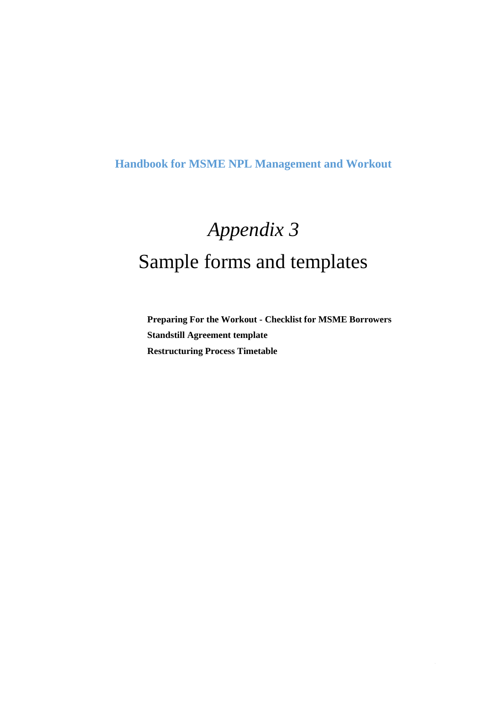# **Handbook for MSME NPL Management and Workout**

# *Appendix 3* Sample forms and templates

**Preparing For the Workout - Checklist for MSME Borrowers Standstill Agreement template Restructuring Process Timetable**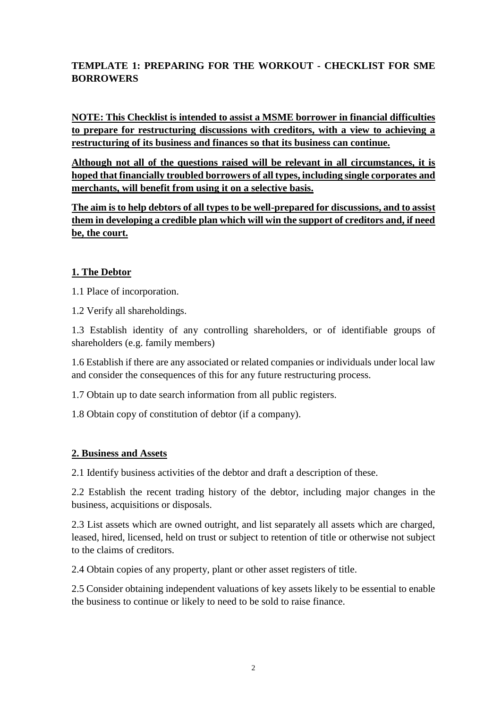## **TEMPLATE 1: PREPARING FOR THE WORKOUT - CHECKLIST FOR SME BORROWERS**

**NOTE: This Checklist is intended to assist a MSME borrower in financial difficulties to prepare for restructuring discussions with creditors, with a view to achieving a restructuring of its business and finances so that its business can continue.** 

**Although not all of the questions raised will be relevant in all circumstances, it is hoped that financially troubled borrowers of all types, including single corporates and merchants, will benefit from using it on a selective basis.**

**The aim is to help debtors of all types to be well-prepared for discussions, and to assist them in developing a credible plan which will win the support of creditors and, if need be, the court.** 

#### **1. The Debtor**

1.1 Place of incorporation.

1.2 Verify all shareholdings.

1.3 Establish identity of any controlling shareholders, or of identifiable groups of shareholders (e.g. family members)

1.6 Establish if there are any associated or related companies or individuals under local law and consider the consequences of this for any future restructuring process.

1.7 Obtain up to date search information from all public registers.

1.8 Obtain copy of constitution of debtor (if a company).

#### **2. Business and Assets**

2.1 Identify business activities of the debtor and draft a description of these.

2.2 Establish the recent trading history of the debtor, including major changes in the business, acquisitions or disposals.

2.3 List assets which are owned outright, and list separately all assets which are charged, leased, hired, licensed, held on trust or subject to retention of title or otherwise not subject to the claims of creditors.

2.4 Obtain copies of any property, plant or other asset registers of title.

2.5 Consider obtaining independent valuations of key assets likely to be essential to enable the business to continue or likely to need to be sold to raise finance.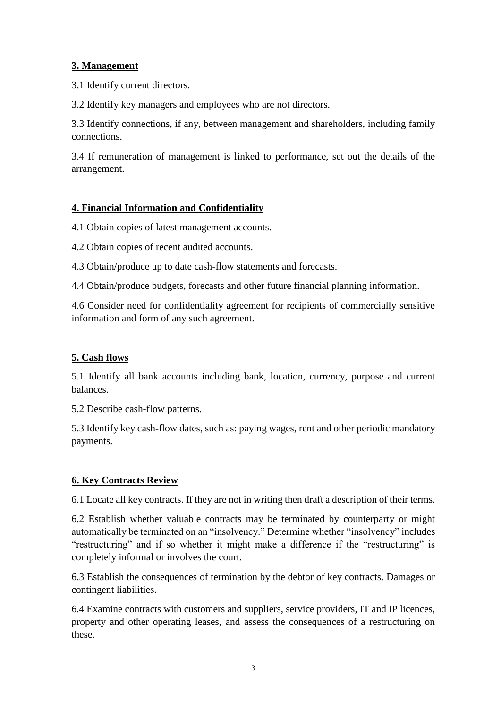#### **3. Management**

3.1 Identify current directors.

3.2 Identify key managers and employees who are not directors.

3.3 Identify connections, if any, between management and shareholders, including family connections.

3.4 If remuneration of management is linked to performance, set out the details of the arrangement.

#### **4. Financial Information and Confidentiality**

4.1 Obtain copies of latest management accounts.

4.2 Obtain copies of recent audited accounts.

4.3 Obtain/produce up to date cash-flow statements and forecasts.

4.4 Obtain/produce budgets, forecasts and other future financial planning information.

4.6 Consider need for confidentiality agreement for recipients of commercially sensitive information and form of any such agreement.

#### **5. Cash flows**

5.1 Identify all bank accounts including bank, location, currency, purpose and current balances.

5.2 Describe cash-flow patterns.

5.3 Identify key cash-flow dates, such as: paying wages, rent and other periodic mandatory payments.

#### **6. Key Contracts Review**

6.1 Locate all key contracts. If they are not in writing then draft a description of their terms.

6.2 Establish whether valuable contracts may be terminated by counterparty or might automatically be terminated on an "insolvency." Determine whether "insolvency" includes "restructuring" and if so whether it might make a difference if the "restructuring" is completely informal or involves the court.

6.3 Establish the consequences of termination by the debtor of key contracts. Damages or contingent liabilities.

6.4 Examine contracts with customers and suppliers, service providers, IT and IP licences, property and other operating leases, and assess the consequences of a restructuring on these.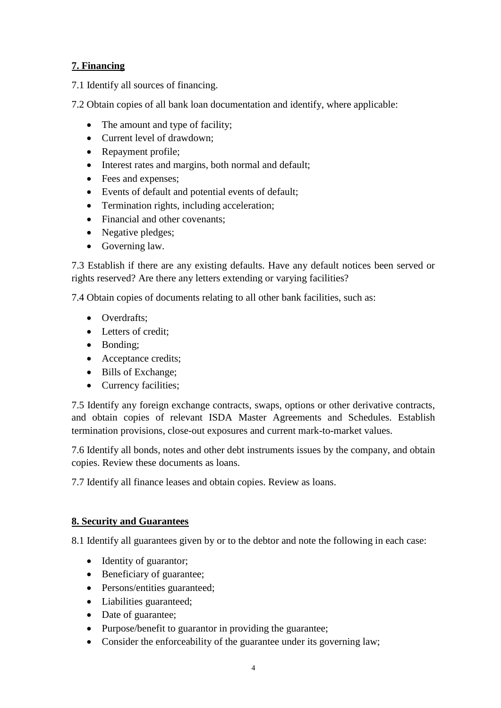## **7. Financing**

7.1 Identify all sources of financing.

7.2 Obtain copies of all bank loan documentation and identify, where applicable:

- The amount and type of facility;
- Current level of drawdown;
- Repayment profile;
- Interest rates and margins, both normal and default;
- Fees and expenses;
- Events of default and potential events of default;
- Termination rights, including acceleration;
- Financial and other covenants;
- Negative pledges;
- Governing law.

7.3 Establish if there are any existing defaults. Have any default notices been served or rights reserved? Are there any letters extending or varying facilities?

7.4 Obtain copies of documents relating to all other bank facilities, such as:

- Overdrafts;
- Letters of credit;
- Bonding;
- Acceptance credits;
- Bills of Exchange;
- Currency facilities;

7.5 Identify any foreign exchange contracts, swaps, options or other derivative contracts, and obtain copies of relevant ISDA Master Agreements and Schedules. Establish termination provisions, close-out exposures and current mark-to-market values.

7.6 Identify all bonds, notes and other debt instruments issues by the company, and obtain copies. Review these documents as loans.

7.7 Identify all finance leases and obtain copies. Review as loans.

## **8. Security and Guarantees**

8.1 Identify all guarantees given by or to the debtor and note the following in each case:

- Identity of guarantor;
- Beneficiary of guarantee;
- Persons/entities guaranteed;
- Liabilities guaranteed;
- Date of guarantee;
- Purpose/benefit to guarantor in providing the guarantee;
- Consider the enforceability of the guarantee under its governing law;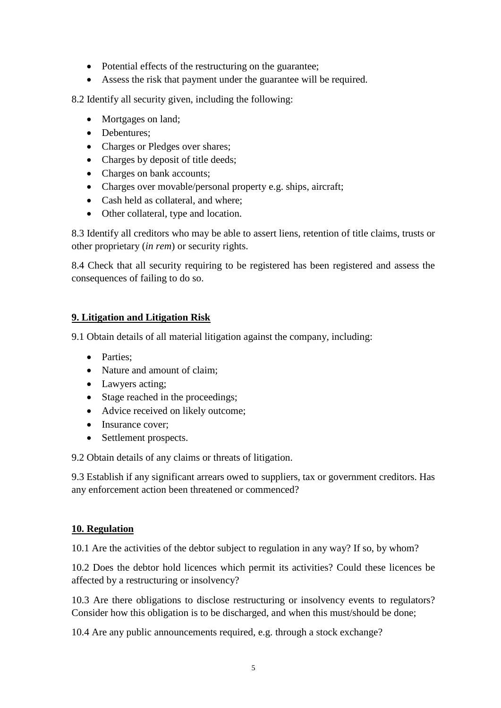- Potential effects of the restructuring on the guarantee;
- Assess the risk that payment under the guarantee will be required.

8.2 Identify all security given, including the following:

- Mortgages on land;
- Debentures;
- Charges or Pledges over shares;
- Charges by deposit of title deeds;
- Charges on bank accounts;
- Charges over movable/personal property e.g. ships, aircraft;
- Cash held as collateral, and where;
- Other collateral, type and location.

8.3 Identify all creditors who may be able to assert liens, retention of title claims, trusts or other proprietary (*in rem*) or security rights.

8.4 Check that all security requiring to be registered has been registered and assess the consequences of failing to do so.

## **9. Litigation and Litigation Risk**

9.1 Obtain details of all material litigation against the company, including:

- Parties:
- Nature and amount of claim;
- Lawyers acting;
- Stage reached in the proceedings;
- Advice received on likely outcome;
- Insurance cover;
- Settlement prospects.

9.2 Obtain details of any claims or threats of litigation.

9.3 Establish if any significant arrears owed to suppliers, tax or government creditors. Has any enforcement action been threatened or commenced?

## **10. Regulation**

10.1 Are the activities of the debtor subject to regulation in any way? If so, by whom?

10.2 Does the debtor hold licences which permit its activities? Could these licences be affected by a restructuring or insolvency?

10.3 Are there obligations to disclose restructuring or insolvency events to regulators? Consider how this obligation is to be discharged, and when this must/should be done;

10.4 Are any public announcements required, e.g. through a stock exchange?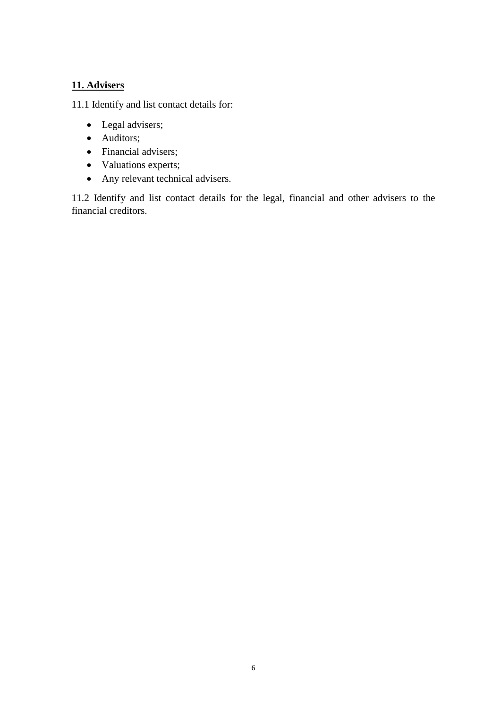# **11. Advisers**

11.1 Identify and list contact details for:

- Legal advisers;
- Auditors;
- Financial advisers;
- Valuations experts;
- Any relevant technical advisers.

11.2 Identify and list contact details for the legal, financial and other advisers to the financial creditors.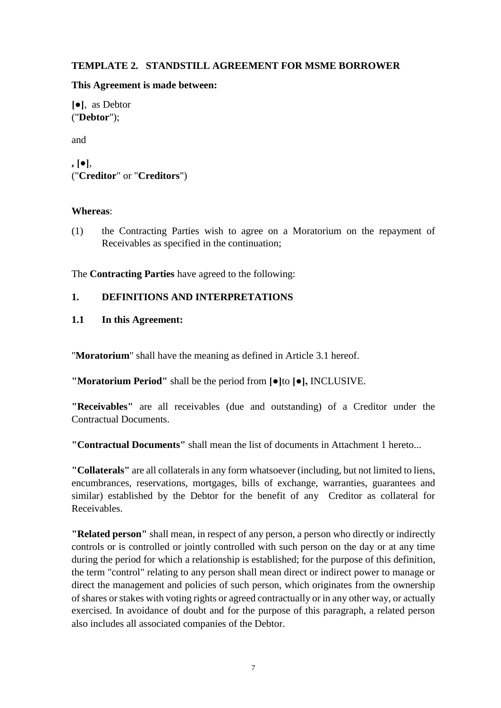#### **TEMPLATE 2. STANDSTILL AGREEMENT FOR MSME BORROWER**

#### **This Agreement is made between:**

**[●]**, as Debtor ("**Debtor**");

and

```
, [●],
("Creditor" or "Creditors")
```
#### **Whereas**:

(1) the Contracting Parties wish to agree on a Moratorium on the repayment of Receivables as specified in the continuation;

The **Contracting Parties** have agreed to the following:

#### **1. DEFINITIONS AND INTERPRETATIONS**

#### **1.1 In this Agreement:**

"**Moratorium**" shall have the meaning as defined in Article 3.1 hereof.

**"Moratorium Period"** shall be the period from **[●]**to **[●],** INCLUSIVE.

**"Receivables"** are all receivables (due and outstanding) of a Creditor under the Contractual Documents.

**"Contractual Documents"** shall mean the list of documents in Attachment 1 hereto...

**"Collaterals"** are all collaterals in any form whatsoever (including, but not limited to liens, encumbrances, reservations, mortgages, bills of exchange, warranties, guarantees and similar) established by the Debtor for the benefit of any Creditor as collateral for Receivables.

**"Related person"** shall mean, in respect of any person, a person who directly or indirectly controls or is controlled or jointly controlled with such person on the day or at any time during the period for which a relationship is established; for the purpose of this definition, the term "control" relating to any person shall mean direct or indirect power to manage or direct the management and policies of such person, which originates from the ownership of shares or stakes with voting rights or agreed contractually or in any other way, or actually exercised. In avoidance of doubt and for the purpose of this paragraph, a related person also includes all associated companies of the Debtor.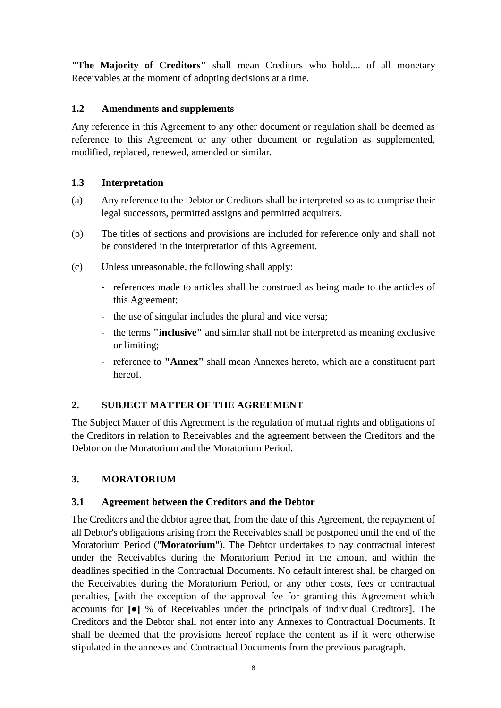**"The Majority of Creditors"** shall mean Creditors who hold.... of all monetary Receivables at the moment of adopting decisions at a time.

#### **1.2 Amendments and supplements**

Any reference in this Agreement to any other document or regulation shall be deemed as reference to this Agreement or any other document or regulation as supplemented, modified, replaced, renewed, amended or similar.

#### **1.3 Interpretation**

- (a) Any reference to the Debtor or Creditors shall be interpreted so as to comprise their legal successors, permitted assigns and permitted acquirers.
- (b) The titles of sections and provisions are included for reference only and shall not be considered in the interpretation of this Agreement.
- (c) Unless unreasonable, the following shall apply:
	- references made to articles shall be construed as being made to the articles of this Agreement;
	- the use of singular includes the plural and vice versa;
	- the terms **"inclusive"** and similar shall not be interpreted as meaning exclusive or limiting;
	- reference to **"Annex"** shall mean Annexes hereto, which are a constituent part hereof.

## **2. SUBJECT MATTER OF THE AGREEMENT**

The Subject Matter of this Agreement is the regulation of mutual rights and obligations of the Creditors in relation to Receivables and the agreement between the Creditors and the Debtor on the Moratorium and the Moratorium Period.

#### **3. MORATORIUM**

#### **3.1 Agreement between the Creditors and the Debtor**

The Creditors and the debtor agree that, from the date of this Agreement, the repayment of all Debtor's obligations arising from the Receivables shall be postponed until the end of the Moratorium Period ("**Moratorium**"). The Debtor undertakes to pay contractual interest under the Receivables during the Moratorium Period in the amount and within the deadlines specified in the Contractual Documents. No default interest shall be charged on the Receivables during the Moratorium Period, or any other costs, fees or contractual penalties, [with the exception of the approval fee for granting this Agreement which accounts for **[●]** % of Receivables under the principals of individual Creditors]. The Creditors and the Debtor shall not enter into any Annexes to Contractual Documents. It shall be deemed that the provisions hereof replace the content as if it were otherwise stipulated in the annexes and Contractual Documents from the previous paragraph.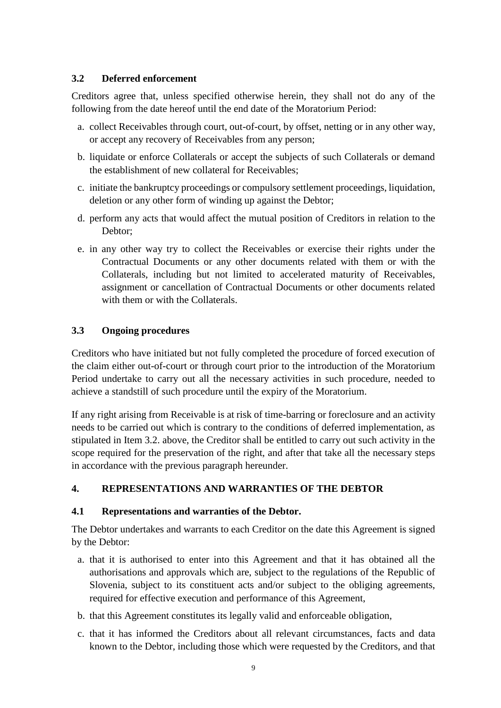#### **3.2 Deferred enforcement**

Creditors agree that, unless specified otherwise herein, they shall not do any of the following from the date hereof until the end date of the Moratorium Period:

- a. collect Receivables through court, out-of-court, by offset, netting or in any other way, or accept any recovery of Receivables from any person;
- b. liquidate or enforce Collaterals or accept the subjects of such Collaterals or demand the establishment of new collateral for Receivables;
- c. initiate the bankruptcy proceedings or compulsory settlement proceedings, liquidation, deletion or any other form of winding up against the Debtor;
- d. perform any acts that would affect the mutual position of Creditors in relation to the Debtor;
- e. in any other way try to collect the Receivables or exercise their rights under the Contractual Documents or any other documents related with them or with the Collaterals, including but not limited to accelerated maturity of Receivables, assignment or cancellation of Contractual Documents or other documents related with them or with the Collaterals.

#### **3.3 Ongoing procedures**

Creditors who have initiated but not fully completed the procedure of forced execution of the claim either out-of-court or through court prior to the introduction of the Moratorium Period undertake to carry out all the necessary activities in such procedure, needed to achieve a standstill of such procedure until the expiry of the Moratorium.

If any right arising from Receivable is at risk of time-barring or foreclosure and an activity needs to be carried out which is contrary to the conditions of deferred implementation, as stipulated in Item 3.2. above, the Creditor shall be entitled to carry out such activity in the scope required for the preservation of the right, and after that take all the necessary steps in accordance with the previous paragraph hereunder.

## **4. REPRESENTATIONS AND WARRANTIES OF THE DEBTOR**

#### **4.1 Representations and warranties of the Debtor.**

The Debtor undertakes and warrants to each Creditor on the date this Agreement is signed by the Debtor:

- a. that it is authorised to enter into this Agreement and that it has obtained all the authorisations and approvals which are, subject to the regulations of the Republic of Slovenia, subject to its constituent acts and/or subject to the obliging agreements, required for effective execution and performance of this Agreement,
- b. that this Agreement constitutes its legally valid and enforceable obligation,
- c. that it has informed the Creditors about all relevant circumstances, facts and data known to the Debtor, including those which were requested by the Creditors, and that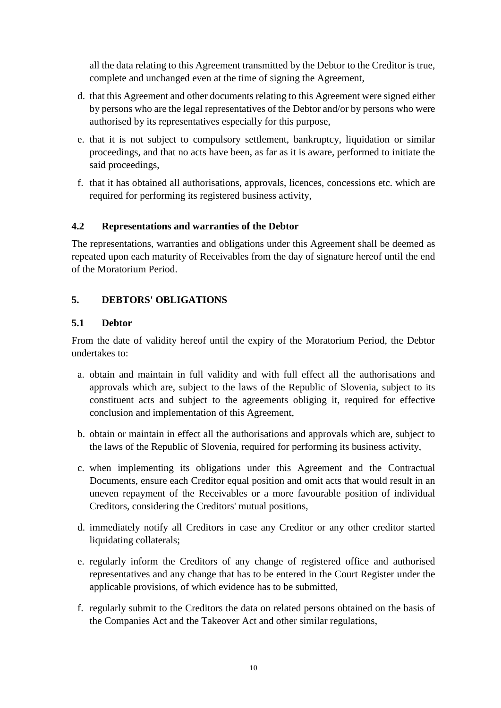all the data relating to this Agreement transmitted by the Debtor to the Creditor is true, complete and unchanged even at the time of signing the Agreement,

- d. that this Agreement and other documents relating to this Agreement were signed either by persons who are the legal representatives of the Debtor and/or by persons who were authorised by its representatives especially for this purpose,
- e. that it is not subject to compulsory settlement, bankruptcy, liquidation or similar proceedings, and that no acts have been, as far as it is aware, performed to initiate the said proceedings,
- f. that it has obtained all authorisations, approvals, licences, concessions etc. which are required for performing its registered business activity,

#### **4.2 Representations and warranties of the Debtor**

The representations, warranties and obligations under this Agreement shall be deemed as repeated upon each maturity of Receivables from the day of signature hereof until the end of the Moratorium Period.

#### **5. DEBTORS' OBLIGATIONS**

#### **5.1 Debtor**

From the date of validity hereof until the expiry of the Moratorium Period, the Debtor undertakes to:

- a. obtain and maintain in full validity and with full effect all the authorisations and approvals which are, subject to the laws of the Republic of Slovenia, subject to its constituent acts and subject to the agreements obliging it, required for effective conclusion and implementation of this Agreement,
- b. obtain or maintain in effect all the authorisations and approvals which are, subject to the laws of the Republic of Slovenia, required for performing its business activity,
- c. when implementing its obligations under this Agreement and the Contractual Documents, ensure each Creditor equal position and omit acts that would result in an uneven repayment of the Receivables or a more favourable position of individual Creditors, considering the Creditors' mutual positions,
- d. immediately notify all Creditors in case any Creditor or any other creditor started liquidating collaterals;
- e. regularly inform the Creditors of any change of registered office and authorised representatives and any change that has to be entered in the Court Register under the applicable provisions, of which evidence has to be submitted,
- f. regularly submit to the Creditors the data on related persons obtained on the basis of the Companies Act and the Takeover Act and other similar regulations,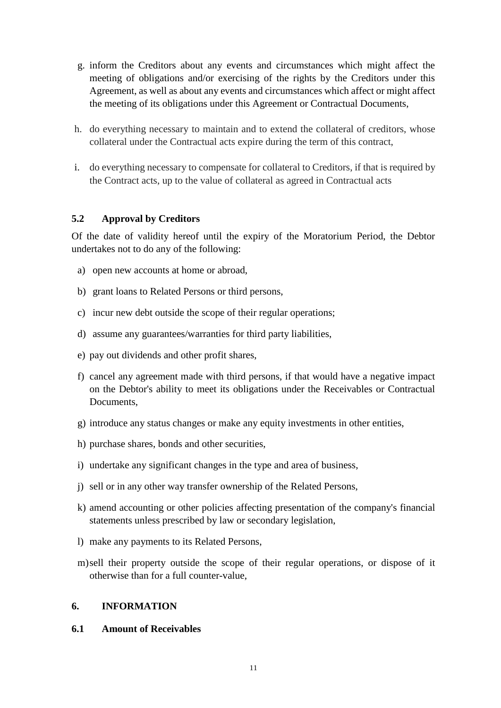- g. inform the Creditors about any events and circumstances which might affect the meeting of obligations and/or exercising of the rights by the Creditors under this Agreement, as well as about any events and circumstances which affect or might affect the meeting of its obligations under this Agreement or Contractual Documents,
- h. do everything necessary to maintain and to extend the collateral of creditors, whose collateral under the Contractual acts expire during the term of this contract,
- i. do everything necessary to compensate for collateral to Creditors, if that is required by the Contract acts, up to the value of collateral as agreed in Contractual acts

#### **5.2 Approval by Creditors**

Of the date of validity hereof until the expiry of the Moratorium Period, the Debtor undertakes not to do any of the following:

- a) open new accounts at home or abroad,
- b) grant loans to Related Persons or third persons,
- c) incur new debt outside the scope of their regular operations;
- d) assume any guarantees/warranties for third party liabilities,
- e) pay out dividends and other profit shares,
- f) cancel any agreement made with third persons, if that would have a negative impact on the Debtor's ability to meet its obligations under the Receivables or Contractual Documents,
- g) introduce any status changes or make any equity investments in other entities,
- h) purchase shares, bonds and other securities,
- i) undertake any significant changes in the type and area of business,
- j) sell or in any other way transfer ownership of the Related Persons,
- k) amend accounting or other policies affecting presentation of the company's financial statements unless prescribed by law or secondary legislation,
- l) make any payments to its Related Persons,
- m)sell their property outside the scope of their regular operations, or dispose of it otherwise than for a full counter-value,

#### **6. INFORMATION**

#### **6.1 Amount of Receivables**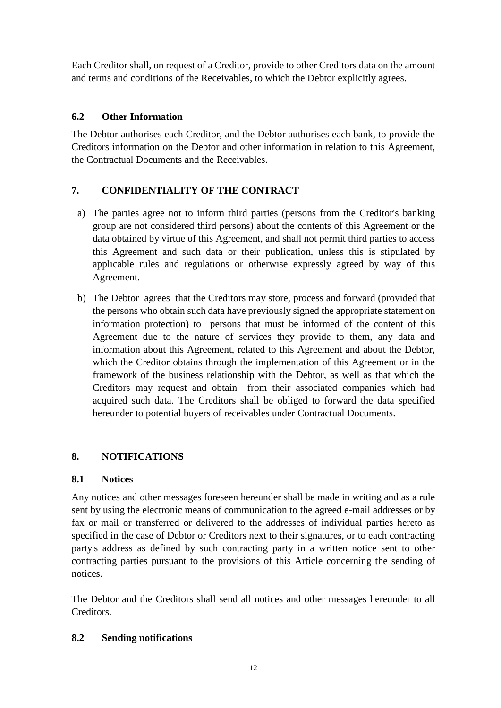Each Creditor shall, on request of a Creditor, provide to other Creditors data on the amount and terms and conditions of the Receivables, to which the Debtor explicitly agrees.

## **6.2 Other Information**

The Debtor authorises each Creditor, and the Debtor authorises each bank, to provide the Creditors information on the Debtor and other information in relation to this Agreement, the Contractual Documents and the Receivables.

# **7. CONFIDENTIALITY OF THE CONTRACT**

- a) The parties agree not to inform third parties (persons from the Creditor's banking group are not considered third persons) about the contents of this Agreement or the data obtained by virtue of this Agreement, and shall not permit third parties to access this Agreement and such data or their publication, unless this is stipulated by applicable rules and regulations or otherwise expressly agreed by way of this Agreement.
- b) The Debtor agrees that the Creditors may store, process and forward (provided that the persons who obtain such data have previously signed the appropriate statement on information protection) to persons that must be informed of the content of this Agreement due to the nature of services they provide to them, any data and information about this Agreement, related to this Agreement and about the Debtor, which the Creditor obtains through the implementation of this Agreement or in the framework of the business relationship with the Debtor, as well as that which the Creditors may request and obtain from their associated companies which had acquired such data. The Creditors shall be obliged to forward the data specified hereunder to potential buyers of receivables under Contractual Documents.

## **8. NOTIFICATIONS**

#### **8.1 Notices**

Any notices and other messages foreseen hereunder shall be made in writing and as a rule sent by using the electronic means of communication to the agreed e-mail addresses or by fax or mail or transferred or delivered to the addresses of individual parties hereto as specified in the case of Debtor or Creditors next to their signatures, or to each contracting party's address as defined by such contracting party in a written notice sent to other contracting parties pursuant to the provisions of this Article concerning the sending of notices.

The Debtor and the Creditors shall send all notices and other messages hereunder to all Creditors.

#### **8.2 Sending notifications**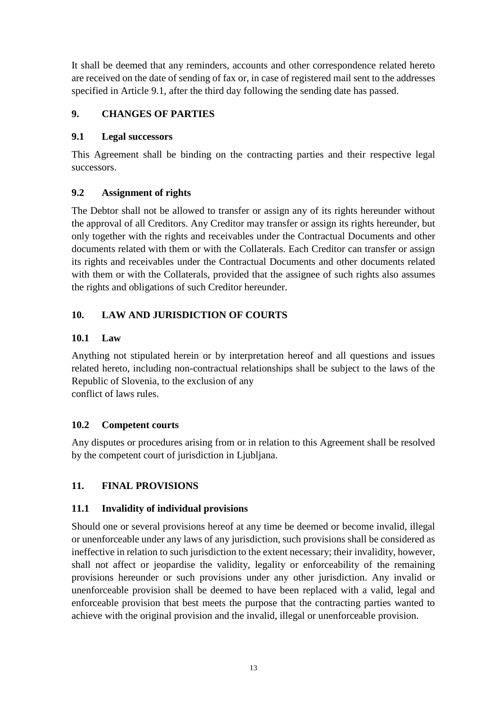It shall be deemed that any reminders, accounts and other correspondence related hereto are received on the date of sending of fax or, in case of registered mail sent to the addresses specified in Article 9.1, after the third day following the sending date has passed.

# **9. CHANGES OF PARTIES**

#### **9.1 Legal successors**

This Agreement shall be binding on the contracting parties and their respective legal successors.

## **9.2 Assignment of rights**

The Debtor shall not be allowed to transfer or assign any of its rights hereunder without the approval of all Creditors. Any Creditor may transfer or assign its rights hereunder, but only together with the rights and receivables under the Contractual Documents and other documents related with them or with the Collaterals. Each Creditor can transfer or assign its rights and receivables under the Contractual Documents and other documents related with them or with the Collaterals, provided that the assignee of such rights also assumes the rights and obligations of such Creditor hereunder.

## **10. LAW AND JURISDICTION OF COURTS**

#### **10.1 Law**

Anything not stipulated herein or by interpretation hereof and all questions and issues related hereto, including non-contractual relationships shall be subject to the laws of the Republic of Slovenia, to the exclusion of any conflict of laws rules.

## **10.2 Competent courts**

Any disputes or procedures arising from or in relation to this Agreement shall be resolved by the competent court of jurisdiction in Ljubljana.

## **11. FINAL PROVISIONS**

#### **11.1 Invalidity of individual provisions**

Should one or several provisions hereof at any time be deemed or become invalid, illegal or unenforceable under any laws of any jurisdiction, such provisions shall be considered as ineffective in relation to such jurisdiction to the extent necessary; their invalidity, however, shall not affect or jeopardise the validity, legality or enforceability of the remaining provisions hereunder or such provisions under any other jurisdiction. Any invalid or unenforceable provision shall be deemed to have been replaced with a valid, legal and enforceable provision that best meets the purpose that the contracting parties wanted to achieve with the original provision and the invalid, illegal or unenforceable provision.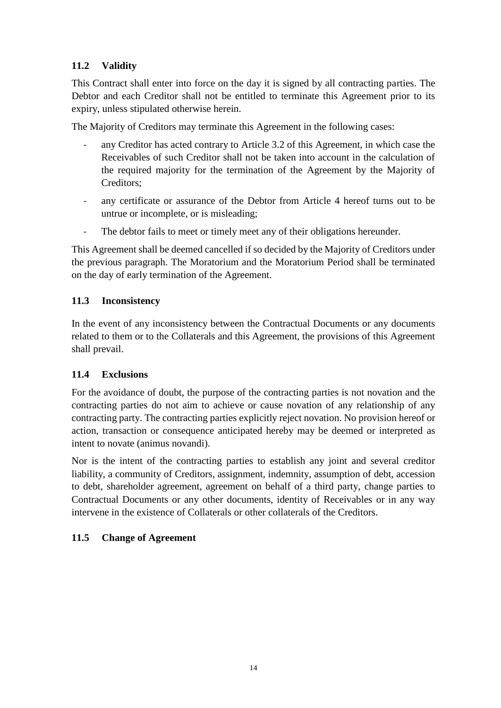# **11.2 Validity**

This Contract shall enter into force on the day it is signed by all contracting parties. The Debtor and each Creditor shall not be entitled to terminate this Agreement prior to its expiry, unless stipulated otherwise herein.

The Majority of Creditors may terminate this Agreement in the following cases:

- any Creditor has acted contrary to Article 3.2 of this Agreement, in which case the Receivables of such Creditor shall not be taken into account in the calculation of the required majority for the termination of the Agreement by the Majority of Creditors;
- any certificate or assurance of the Debtor from Article 4 hereof turns out to be untrue or incomplete, or is misleading;
- The debtor fails to meet or timely meet any of their obligations hereunder.

This Agreement shall be deemed cancelled if so decided by the Majority of Creditors under the previous paragraph. The Moratorium and the Moratorium Period shall be terminated on the day of early termination of the Agreement.

#### **11.3 Inconsistency**

In the event of any inconsistency between the Contractual Documents or any documents related to them or to the Collaterals and this Agreement, the provisions of this Agreement shall prevail.

## **11.4 Exclusions**

For the avoidance of doubt, the purpose of the contracting parties is not novation and the contracting parties do not aim to achieve or cause novation of any relationship of any contracting party. The contracting parties explicitly reject novation. No provision hereof or action, transaction or consequence anticipated hereby may be deemed or interpreted as intent to novate (animus novandi).

Nor is the intent of the contracting parties to establish any joint and several creditor liability, a community of Creditors, assignment, indemnity, assumption of debt, accession to debt, shareholder agreement, agreement on behalf of a third party, change parties to Contractual Documents or any other documents, identity of Receivables or in any way intervene in the existence of Collaterals or other collaterals of the Creditors.

## **11.5 Change of Agreement**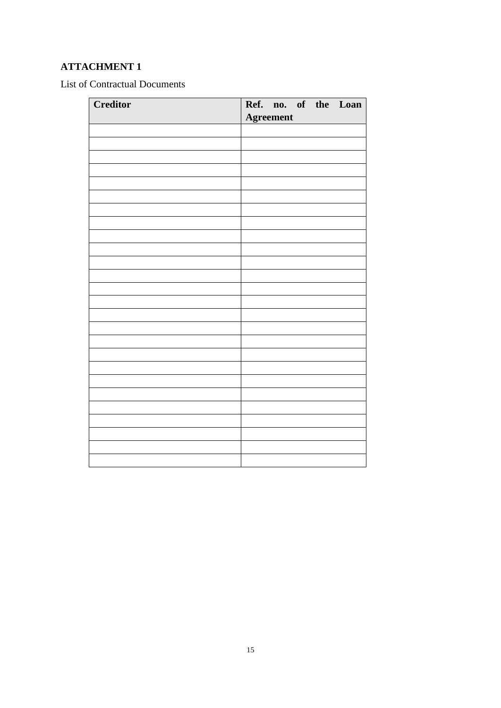# **ATTACHMENT 1**

List of Contractual Documents

| Creditor |                  |  |  |  | Ref. no. of the Loan |
|----------|------------------|--|--|--|----------------------|
|          | <b>Agreement</b> |  |  |  |                      |
|          |                  |  |  |  |                      |
|          |                  |  |  |  |                      |
|          |                  |  |  |  |                      |
|          |                  |  |  |  |                      |
|          |                  |  |  |  |                      |
|          |                  |  |  |  |                      |
|          |                  |  |  |  |                      |
|          |                  |  |  |  |                      |
|          |                  |  |  |  |                      |
|          |                  |  |  |  |                      |
|          |                  |  |  |  |                      |
|          |                  |  |  |  |                      |
|          |                  |  |  |  |                      |
|          |                  |  |  |  |                      |
|          |                  |  |  |  |                      |
|          |                  |  |  |  |                      |
|          |                  |  |  |  |                      |
|          |                  |  |  |  |                      |
|          |                  |  |  |  |                      |
|          |                  |  |  |  |                      |
|          |                  |  |  |  |                      |
|          |                  |  |  |  |                      |
|          |                  |  |  |  |                      |
|          |                  |  |  |  |                      |
|          |                  |  |  |  |                      |
|          |                  |  |  |  |                      |
|          |                  |  |  |  |                      |
|          |                  |  |  |  |                      |
|          |                  |  |  |  |                      |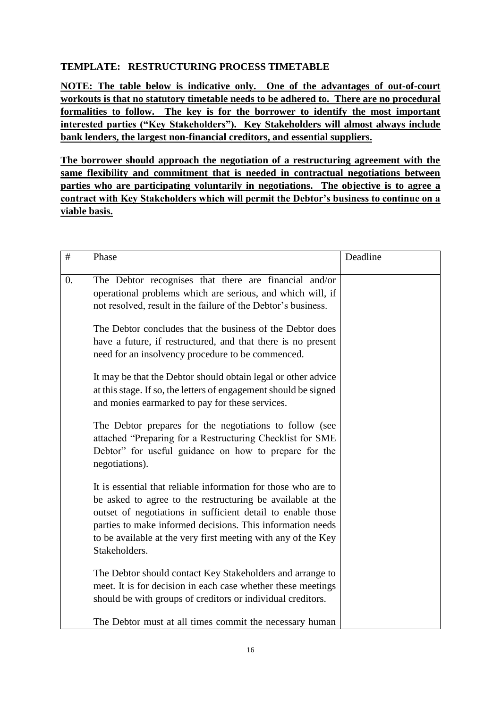## **TEMPLATE: RESTRUCTURING PROCESS TIMETABLE**

**NOTE: The table below is indicative only. One of the advantages of out-of-court workouts is that no statutory timetable needs to be adhered to. There are no procedural formalities to follow. The key is for the borrower to identify the most important interested parties ("Key Stakeholders"). Key Stakeholders will almost always include bank lenders, the largest non-financial creditors, and essential suppliers.** 

**The borrower should approach the negotiation of a restructuring agreement with the same flexibility and commitment that is needed in contractual negotiations between parties who are participating voluntarily in negotiations. The objective is to agree a contract with Key Stakeholders which will permit the Debtor's business to continue on a viable basis.** 

| $\#$ | Phase                                                                                                                                                                                                                                                                                                                                       | Deadline |
|------|---------------------------------------------------------------------------------------------------------------------------------------------------------------------------------------------------------------------------------------------------------------------------------------------------------------------------------------------|----------|
| 0.   | The Debtor recognises that there are financial and/or<br>operational problems which are serious, and which will, if<br>not resolved, result in the failure of the Debtor's business.                                                                                                                                                        |          |
|      | The Debtor concludes that the business of the Debtor does<br>have a future, if restructured, and that there is no present<br>need for an insolvency procedure to be commenced.                                                                                                                                                              |          |
|      | It may be that the Debtor should obtain legal or other advice<br>at this stage. If so, the letters of engagement should be signed<br>and monies earmarked to pay for these services.                                                                                                                                                        |          |
|      | The Debtor prepares for the negotiations to follow (see<br>attached "Preparing for a Restructuring Checklist for SME<br>Debtor" for useful guidance on how to prepare for the<br>negotiations).                                                                                                                                             |          |
|      | It is essential that reliable information for those who are to<br>be asked to agree to the restructuring be available at the<br>outset of negotiations in sufficient detail to enable those<br>parties to make informed decisions. This information needs<br>to be available at the very first meeting with any of the Key<br>Stakeholders. |          |
|      | The Debtor should contact Key Stakeholders and arrange to<br>meet. It is for decision in each case whether these meetings<br>should be with groups of creditors or individual creditors.                                                                                                                                                    |          |
|      | The Debtor must at all times commit the necessary human                                                                                                                                                                                                                                                                                     |          |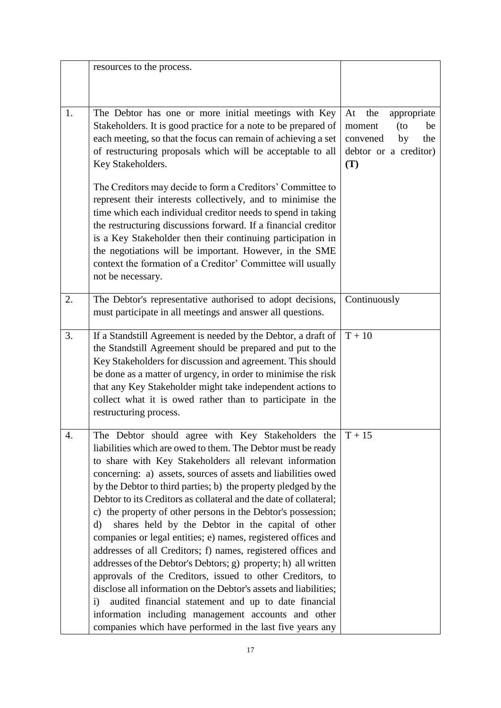|    | resources to the process.                                                                                                                                                                                                                                                                                                                                                                                                                                                                                                                                                                                                                                                                                                                                                                                                                                                                                                                                                                                                                                     |                                                                                                          |
|----|---------------------------------------------------------------------------------------------------------------------------------------------------------------------------------------------------------------------------------------------------------------------------------------------------------------------------------------------------------------------------------------------------------------------------------------------------------------------------------------------------------------------------------------------------------------------------------------------------------------------------------------------------------------------------------------------------------------------------------------------------------------------------------------------------------------------------------------------------------------------------------------------------------------------------------------------------------------------------------------------------------------------------------------------------------------|----------------------------------------------------------------------------------------------------------|
| 1. | The Debtor has one or more initial meetings with Key<br>Stakeholders. It is good practice for a note to be prepared of<br>each meeting, so that the focus can remain of achieving a set<br>of restructuring proposals which will be acceptable to all<br>Key Stakeholders.                                                                                                                                                                                                                                                                                                                                                                                                                                                                                                                                                                                                                                                                                                                                                                                    | appropriate<br>At<br>the<br>moment<br>(to<br>be<br>the<br>convened<br>by<br>debtor or a creditor)<br>(T) |
|    | The Creditors may decide to form a Creditors' Committee to<br>represent their interests collectively, and to minimise the<br>time which each individual creditor needs to spend in taking<br>the restructuring discussions forward. If a financial creditor<br>is a Key Stakeholder then their continuing participation in<br>the negotiations will be important. However, in the SME<br>context the formation of a Creditor' Committee will usually<br>not be necessary.                                                                                                                                                                                                                                                                                                                                                                                                                                                                                                                                                                                     |                                                                                                          |
| 2. | The Debtor's representative authorised to adopt decisions,<br>must participate in all meetings and answer all questions.                                                                                                                                                                                                                                                                                                                                                                                                                                                                                                                                                                                                                                                                                                                                                                                                                                                                                                                                      | Continuously                                                                                             |
| 3. | If a Standstill Agreement is needed by the Debtor, a draft of<br>the Standstill Agreement should be prepared and put to the<br>Key Stakeholders for discussion and agreement. This should<br>be done as a matter of urgency, in order to minimise the risk<br>that any Key Stakeholder might take independent actions to<br>collect what it is owed rather than to participate in the<br>restructuring process.                                                                                                                                                                                                                                                                                                                                                                                                                                                                                                                                                                                                                                               | $T + 10$                                                                                                 |
|    | The Debtor should agree with Key Stakeholders the $T + 15$<br>liabilities which are owed to them. The Debtor must be ready<br>to share with Key Stakeholders all relevant information<br>concerning: a) assets, sources of assets and liabilities owed<br>by the Debtor to third parties; b) the property pledged by the<br>Debtor to its Creditors as collateral and the date of collateral;<br>c) the property of other persons in the Debtor's possession;<br>shares held by the Debtor in the capital of other<br>$\rm d$<br>companies or legal entities; e) names, registered offices and<br>addresses of all Creditors; f) names, registered offices and<br>addresses of the Debtor's Debtors; g) property; h) all written<br>approvals of the Creditors, issued to other Creditors, to<br>disclose all information on the Debtor's assets and liabilities;<br>audited financial statement and up to date financial<br>$\mathbf{i}$<br>information including management accounts and other<br>companies which have performed in the last five years any |                                                                                                          |